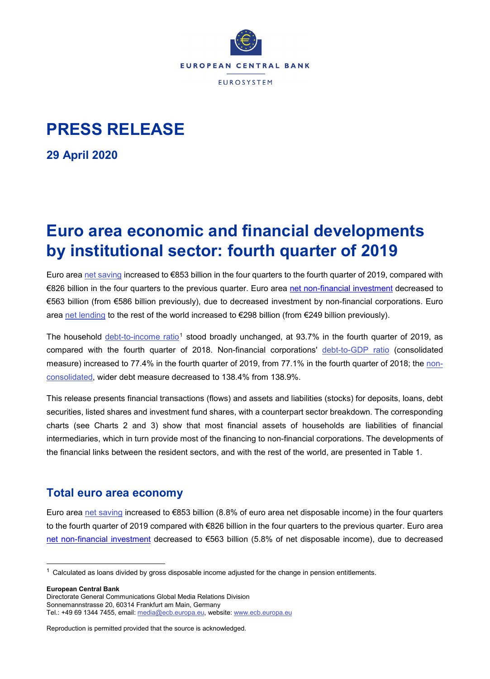

# **PRESS RELEASE**

**29 April 2020**

# **Euro area economic and financial developments by institutional sector: fourth quarter of 2019**

Euro area [net saving](http://sdw.ecb.europa.eu/browseTable.do?dc=&type=series&cv=&ec=&rc=&node=SEARCHRESULTS&oc=&df=&q=QSA.Q.N.I8.W0.S1.S1._Z.B.B8G._Z._Z._Z.XDC._T.S.V.N._T%20QSA.Q.N.I8.W0.S1.S1.N.D.P51C._Z._Z._Z.XDC._T.S.V.N._T%20QSA.Q.N.I8.W0.S1.S1._Z.B.B6G._Z._Z._Z.XDC._T.S.V.N._T&pb=) increased to €853 billion in the four quarters to the fourth quarter of 2019, compared with €826 billion in the four quarters to the previous quarter. Euro area [net non-financial investment](http://sdw.ecb.europa.eu/browseTable.do?dc=&type=series&cv=&ec=&rc=&node=SEARCHRESULTS&oc=&df=&q=QSA.Q.N.I8.W0.S1.S1.N.D.P5._Z._Z._Z.XDC._T.S.V.N._T%20QSA.Q.N.I8.W0.S1M.S1.N.D.NP._Z._Z._Z.XDC._T.S.V.N._T%20QSA.Q.N.I8.W0.S1.S1.N.D.P51C._Z._Z._Z.XDC._T.S.V.N._T%20QSA.Q.N.I8.W0.S1.S1._Z.B.B6G._Z._Z._Z.XDC._T.S.V.N._T&pb=) decreased to €563 billion (from €586 billion previously), due to decreased investment by non-financial corporations. Euro area [net lending](http://sdw.ecb.europa.eu/quickview.do?SERIES_KEY=332.QSA.Q.N.I8.W0.S1.S1._Z.B.B9._Z._Z._Z.XDC._T.S.V.N._T) to the rest of the world increased to €298 billion (from €249 billion previously).

The household [debt-to-income ratio](http://sdw.ecb.europa.eu/browseTable.do?org.apache.struts.taglib.html.TOKEN=18d6c603977d19e160caeb4c6b77158f&df=true&ec=1&dc=&oc=0&pb=1&rc=0&DATASET=0&removeItem=&removedItemList=&mergeFilter=&activeTab=QSA&showHide=&MAX_DOWNLOAD_SERIES=500&SERIES_MAX_NUM=50&node=SEARCHRESULTS&q=QSA.Q.N.I8.W0.S1M.S1.N.L.LE.F4.T._Z.XDC_R_B6GA_CY._T.S.V.N._T&type=series&legendRef=reference&SERIES_KEY_checkall=on&SERIES_KEY=332.QSA.Q.N.I8.W0.S1M.S1.N.L.LE.F4.T._Z.XDC_R_B6GA_CY._T.S.V.N._T)<sup>[1](#page-0-0)</sup> stood broadly unchanged, at 93.7% in the fourth quarter of 2019, as compared with the fourth quarter of 2018. Non-financial corporations' [debt-to-GDP ratio](http://sdw.ecb.europa.eu/browseTable.do?org.apache.struts.taglib.html.TOKEN=00940fc748a2fc3b6679e48a4adcecd3&df=true&ec=1&dc=&oc=0&pb=1&rc=0&DATASET=0&removeItem=&removedItemList=&mergeFilter=&activeTab=QSA&showHide=&MAX_DOWNLOAD_SERIES=500&SERIES_MAX_NUM=50&node=SEARCHRESULTS&q=QSA.Q.N.I8.W0.S11.S1.C.L.LE.F3T4.T._Z.XDC_R_B1GQ_CY._T.S.V.N._T+&type=series&legendRef=reference&SERIES_KEY=332.QSA.Q.N.I8.W0.S11.S1.C.L.LE.F3T4.T._Z.XDC_R_B1GQ_CY._T.S.V.N._T) (consolidated measure) increased to 77.4% in the fourth quarter of 2019, from 77.1% in the fourth quarter of 2018; the [non](http://sdw.ecb.europa.eu/browseTable.do?org.apache.struts.taglib.html.TOKEN=ed86250cef32ef2469e6acdcd7c52f74&df=true&ec=1&dc=&oc=0&pb=1&rc=0&DATASET=0&removeItem=&removedItemList=&mergeFilter=&activeTab=QSA&showHide=&MAX_DOWNLOAD_SERIES=500&SERIES_MAX_NUM=50&node=SEARCHRESULTS&q=QSA.Q.N.I8.W0.S11.S1.N.L.LE.FPT.T._Z.XDC_R_B1GQ_CY._T.S.V.N._T+&type=series&SERIES_KEY=332.QSA.Q.N.I8.W0.S11.S1.N.L.LE.FPT.T._Z.XDC_R_B1GQ_CY._T.S.V.N._T)[consolidated,](http://sdw.ecb.europa.eu/browseTable.do?org.apache.struts.taglib.html.TOKEN=ed86250cef32ef2469e6acdcd7c52f74&df=true&ec=1&dc=&oc=0&pb=1&rc=0&DATASET=0&removeItem=&removedItemList=&mergeFilter=&activeTab=QSA&showHide=&MAX_DOWNLOAD_SERIES=500&SERIES_MAX_NUM=50&node=SEARCHRESULTS&q=QSA.Q.N.I8.W0.S11.S1.N.L.LE.FPT.T._Z.XDC_R_B1GQ_CY._T.S.V.N._T+&type=series&SERIES_KEY=332.QSA.Q.N.I8.W0.S11.S1.N.L.LE.FPT.T._Z.XDC_R_B1GQ_CY._T.S.V.N._T) wider debt measure decreased to 138.4% from 138.9%.

This release presents financial transactions (flows) and assets and liabilities (stocks) for deposits, loans, debt securities, listed shares and investment fund shares, with a counterpart sector breakdown. The corresponding charts (see Charts 2 and 3) show that most financial assets of households are liabilities of financial intermediaries, which in turn provide most of the financing to non-financial corporations. The developments of the financial links between the resident sectors, and with the rest of the world, are presented in Table 1.

## **Total euro area economy**

Euro area [net saving](http://sdw.ecb.europa.eu/browseTable.do?dc=&type=series&cv=&ec=&rc=&node=SEARCHRESULTS&oc=&df=&q=QSA.Q.N.I8.W0.S1.S1._Z.B.B8G._Z._Z._Z.XDC._T.S.V.N._T%20QSA.Q.N.I8.W0.S1.S1.N.D.P51C._Z._Z._Z.XDC._T.S.V.N._T%20QSA.Q.N.I8.W0.S1.S1._Z.B.B6G._Z._Z._Z.XDC._T.S.V.N._T&pb=) increased to €853 billion (8.8% of euro area net disposable income) in the four quarters to the fourth quarter of 2019 compared with €826 billion in the four quarters to the previous quarter. Euro area [net non-financial investment](http://sdw.ecb.europa.eu/browseTable.do?dc=&type=series&cv=&ec=&rc=&node=SEARCHRESULTS&oc=&df=&q=QSA.Q.N.I8.W0.S1.S1.N.D.P5._Z._Z._Z.XDC._T.S.V.N._T%20QSA.Q.N.I8.W0.S1M.S1.N.D.NP._Z._Z._Z.XDC._T.S.V.N._T%20QSA.Q.N.I8.W0.S1.S1.N.D.P51C._Z._Z._Z.XDC._T.S.V.N._T%20QSA.Q.N.I8.W0.S1.S1._Z.B.B6G._Z._Z._Z.XDC._T.S.V.N._T&pb=) decreased to €563 billion (5.8% of net disposable income), due to decreased

**European Central Bank**

<span id="page-0-0"></span> $1$  Calculated as loans divided by gross disposable income adjusted for the change in pension entitlements.

Directorate General Communications Global Media Relations Division Sonnemannstrasse 20, 60314 Frankfurt am Main, Germany Tel.: +49 69 1344 7455, email[: media@ecb.europa.eu,](mailto:media@ecb.europa.eu) website[: www.ecb.europa.eu](http://ecb.europa.eu/)

Reproduction is permitted provided that the source is acknowledged.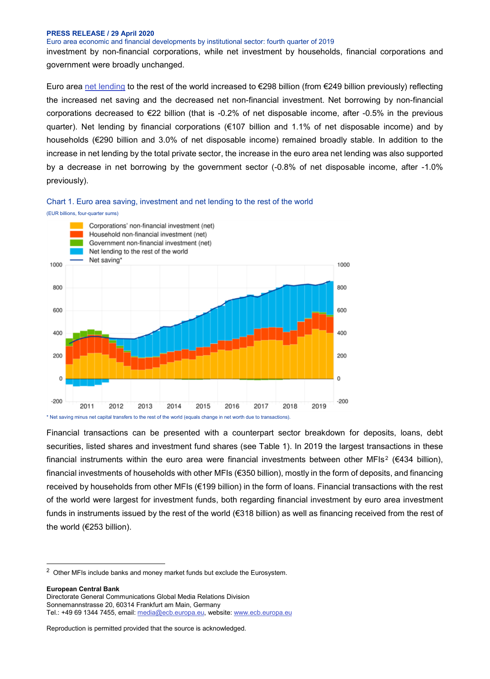Euro area economic and financial developments by institutional sector: fourth quarter of 2019

investment by non-financial corporations, while net investment by households, financial corporations and government were broadly unchanged.

Euro area [net lending](http://sdw.ecb.europa.eu/quickview.do?SERIES_KEY=332.QSA.Q.N.I8.W0.S1.S1._Z.B.B9._Z._Z._Z.XDC._T.S.V.N._T) to the rest of the world increased to €298 billion (from €249 billion previously) reflecting the increased net saving and the decreased net non-financial investment. Net borrowing by non-financial corporations decreased to €22 billion (that is -0.2% of net disposable income, after -0.5% in the previous quarter). Net lending by financial corporations (€107 billion and 1.1% of net disposable income) and by households (€290 billion and 3.0% of net disposable income) remained broadly stable. In addition to the increase in net lending by the total private sector, the increase in the euro area net lending was also supported by a decrease in net borrowing by the government sector (-0.8% of net disposable income, after -1.0% previously).



#### (EUR billions, four-quarter sums)



Financial transactions can be presented with a counterpart sector breakdown for deposits, loans, debt securities, listed shares and investment fund shares (see Table 1). In 2019 the largest transactions in these financial instruments within the euro area were financial investments between other MFIs<sup>[2](#page-1-0)</sup> (€434 billion), financial investments of households with other MFIs (€350 billion), mostly in the form of deposits, and financing received by households from other MFIs (€199 billion) in the form of loans. Financial transactions with the rest of the world were largest for investment funds, both regarding financial investment by euro area investment funds in instruments issued by the rest of the world (€318 billion) as well as financing received from the rest of the world (€253 billion).

**European Central Bank** Directorate General Communications Global Media Relations Division Sonnemannstrasse 20, 60314 Frankfurt am Main, Germany Tel.: +49 69 1344 7455, email[: media@ecb.europa.eu,](mailto:media@ecb.europa.eu) website[: www.ecb.europa.eu](http://ecb.europa.eu/)

<span id="page-1-0"></span> <sup>2</sup> Other MFIs include banks and money market funds but exclude the Eurosystem.

Reproduction is permitted provided that the source is acknowledged.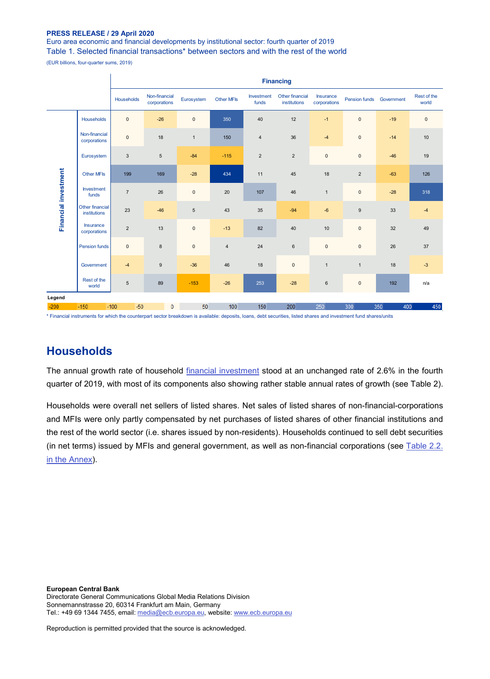÷.

Euro area economic and financial developments by institutional sector: fourth quarter of 2019 Table 1. Selected financial transactions\* between sectors and with the rest of the world

(EUR billions, four-quarter sums, 2019)

|                      |                                 | <b>Financing</b> |                               |              |                |                     |                                 |                           |                     |            |                      |
|----------------------|---------------------------------|------------------|-------------------------------|--------------|----------------|---------------------|---------------------------------|---------------------------|---------------------|------------|----------------------|
|                      |                                 | Households       | Non-financial<br>corporations | Eurosystem   | Other MFIs     | Investment<br>funds | Other financial<br>institutions | Insurance<br>corporations | Pension funds       | Government | Rest of the<br>world |
| Financial investment | Households                      | $\pmb{0}$        | $-26$                         | $\mathsf 0$  | 350            | 40                  | 12                              | $-1$                      | $\mathsf{O}\xspace$ | $-19$      | $\mathsf{O}\xspace$  |
|                      | Non-financial<br>corporations   | $\mathbf 0$      | 18                            | $\mathbf{1}$ | 150            | $\overline{4}$      | 36                              | $-4$                      | $\mathsf 0$         | $-14$      | 10                   |
|                      | Eurosystem                      | $\mathbf{3}$     | $\sqrt{5}$                    | $-84$        | $-115$         | $\overline{2}$      | $\overline{2}$                  | $\mathbf 0$               | $\mathbf{0}$        | $-46$      | 19                   |
|                      | Other MFIs                      | 199              | 169                           | $-28$        | 434            | 11                  | 45                              | 18                        | $\overline{2}$      | $-63$      | 126                  |
|                      | Investment<br>funds             | $\overline{7}$   | 26                            | $\mathbf 0$  | 20             | 107                 | 46                              | $\overline{1}$            | $\mathsf 0$         | $-28$      | 318                  |
|                      | Other financial<br>institutions | 23               | $-46$                         | 5            | 43             | 35                  | $-94$                           | $-6$                      | 9                   | 33         | $-4$                 |
|                      | Insurance<br>corporations       | $\overline{2}$   | 13                            | $\mathsf 0$  | $-13$          | 82                  | 40                              | 10                        | $\mathbf{0}$        | 32         | 49                   |
|                      | <b>Pension funds</b>            | $\mathbf{0}$     | 8                             | $\mathbf{0}$ | $\overline{4}$ | 24                  | $6\phantom{1}$                  | $\mathsf{O}\xspace$       | $\mathbf{0}$        | 26         | 37                   |
|                      | Government                      | $-4$             | $\boldsymbol{9}$              | $-36$        | 46             | 18                  | $\pmb{0}$                       | $\overline{1}$            | $\mathbf{1}$        | 18         | $-3$                 |
|                      | Rest of the<br>world            | 5                | 89                            | $-153$       | $-26$          | 253                 | $-28$                           | $\,6\,$                   | $\mathsf 0$         | 192        | n/a                  |
| Legend               |                                 |                  |                               |              |                |                     |                                 |                           |                     |            |                      |
| $-200$               | $-150$                          | $-50$<br>$-100$  | 0                             | 50           | 100            | 150                 | 200                             | 250                       | 300                 | 350<br>400 | 450                  |

\* Financial instruments for which the counterpart sector breakdown is available: deposits, loans, debt securities, listed shares and investment fund shares/units

## **Households**

The annual growth rate of household [financial investment](http://sdw.ecb.europa.eu/browseTable.do?dc=&type=series&cv=&ec=&rc=&node=SEARCHRESULTS&oc=&df=&q=QSA.Q.N.I8.W0.S1M.S1.N.A.F.F._Z._Z.XDC._T.S.V.N._T%20QSA.Q.N.I8.W0.S1M.S1.N.A.LE.F._Z._Z.XDC._T.S.V.N._T&pb=&SERIES_KEY=332.QSA.Q.N.I8.W0.S1M.S1.N.A.F.F._Z._Z.XDC._T.S.V.N._T&SERIES_KEY=332.QSA.Q.N.I8.W0.S1M.S1.N.A.LE.F._Z._Z.XDC._T.S.V.N._T) stood at an unchanged rate of 2.6% in the fourth quarter of 2019, with most of its components also showing rather stable annual rates of growth (see Table 2).

Households were overall net sellers of listed shares. Net sales of listed shares of non-financial-corporations and MFIs were only partly compensated by net purchases of listed shares of other financial institutions and the rest of the world sector (i.e. shares issued by non-residents). Households continued to sell debt securities (in net terms) issued by MFIs and general government, as well as non-financial corporations (see [Table 2.2.](http://sdw.ecb.europa.eu/web/generator/prl/pr_qsa_0201_2019q4.pdf)  [in the Annex\)](http://sdw.ecb.europa.eu/web/generator/prl/pr_qsa_0201_2019q4.pdf).

**European Central Bank** Directorate General Communications Global Media Relations Division Sonnemannstrasse 20, 60314 Frankfurt am Main, Germany Tel.: +49 69 1344 7455, email[: media@ecb.europa.eu,](mailto:media@ecb.europa.eu) website[: www.ecb.europa.eu](http://ecb.europa.eu/)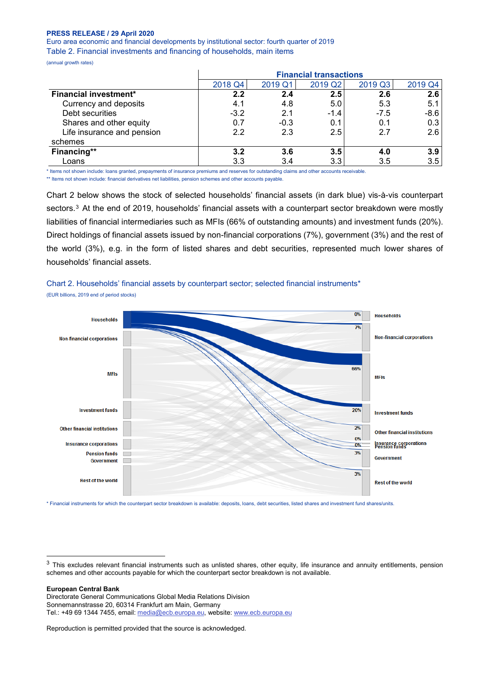Euro area economic and financial developments by institutional sector: fourth quarter of 2019 Table 2. Financial investments and financing of households, main items

(annual growth rates)

|                              |         | <b>Financial transactions</b> |         |         |         |  |  |  |
|------------------------------|---------|-------------------------------|---------|---------|---------|--|--|--|
|                              | 2018 Q4 | 2019 Q1                       | 2019 Q2 | 2019 Q3 | 2019 Q4 |  |  |  |
| <b>Financial investment*</b> | $2.2\,$ | 2.4                           | 2.5     | 2.6     | 2.6     |  |  |  |
| Currency and deposits        | 4.1     | 4.8                           | 5.0     | 5.3     | 5.1     |  |  |  |
| Debt securities              | $-3.2$  | 2.1                           | $-1.4$  | $-7.5$  | $-8.6$  |  |  |  |
| Shares and other equity      | 0.7     | $-0.3$                        | 0.1     | 0.1     | 0.3     |  |  |  |
| Life insurance and pension   | 2.2     | 2.3                           | 2.5     | 2.7     | 2.6     |  |  |  |
| schemes                      |         |                               |         |         |         |  |  |  |
| Financing**                  | 3.2     | 3.6                           | 3.5     | 4.0     | 3.9     |  |  |  |
| Loans                        | 3.3     | 3.4                           | 3.3     | 3.5     | 3.5     |  |  |  |

\* Items not shown include: loans granted, prepayments of insurance premiums and reserves for outstanding claims and other accounts receivable.

\*\* Items not shown include: financial derivatives net liabilities, pension schemes and other accounts payable.

Chart 2 below shows the stock of selected households' financial assets (in dark blue) vis-à-vis counterpart sectors.<sup>[3](#page-3-0)</sup> At the end of 2019, households' financial assets with a counterpart sector breakdown were mostly liabilities of financial intermediaries such as MFIs (66% of outstanding amounts) and investment funds (20%). Direct holdings of financial assets issued by non-financial corporations (7%), government (3%) and the rest of the world (3%), e.g. in the form of listed shares and debt securities, represented much lower shares of households' financial assets.

Chart 2. Households' financial assets by counterpart sector; selected financial instruments\* (EUR billions, 2019 end of period stocks)



\* Financial instruments for which the counterpart sector breakdown is available: deposits, loans, debt securities, listed shares and investment fund shares/units.

#### **European Central Bank**

Directorate General Communications Global Media Relations Division Sonnemannstrasse 20, 60314 Frankfurt am Main, Germany Tel.: +49 69 1344 7455, email[: media@ecb.europa.eu,](mailto:media@ecb.europa.eu) website[: www.ecb.europa.eu](http://ecb.europa.eu/)

<span id="page-3-0"></span><sup>&</sup>lt;sup>3</sup> This excludes relevant financial instruments such as unlisted shares, other equity, life insurance and annuity entitlements, pension schemes and other accounts payable for which the counterpart sector breakdown is not available.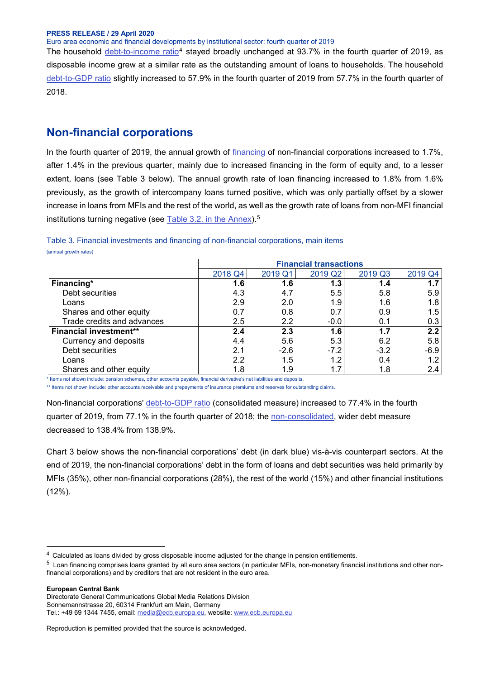Euro area economic and financial developments by institutional sector: fourth quarter of 2019

The household [debt-to-income ratio](http://sdw.ecb.europa.eu/browseTable.do?org.apache.struts.taglib.html.TOKEN=18d6c603977d19e160caeb4c6b77158f&df=true&ec=1&dc=&oc=0&pb=1&rc=0&DATASET=0&removeItem=&removedItemList=&mergeFilter=&activeTab=QSA&showHide=&MAX_DOWNLOAD_SERIES=500&SERIES_MAX_NUM=50&node=SEARCHRESULTS&q=QSA.Q.N.I8.W0.S1M.S1.N.L.LE.F4.T._Z.XDC_R_B6GA_CY._T.S.V.N._T&type=series&legendRef=reference&SERIES_KEY_checkall=on&SERIES_KEY=332.QSA.Q.N.I8.W0.S1M.S1.N.L.LE.F4.T._Z.XDC_R_B6GA_CY._T.S.V.N._T)[4](#page-4-0) stayed broadly unchanged at 93.7% in the fourth quarter of 2019, as disposable income grew at a similar rate as the outstanding amount of loans to households. The household [debt-to-GDP ratio](http://sdw.ecb.europa.eu/browseTable.do?org.apache.struts.taglib.html.TOKEN=9e5ffd7875878d5082ca0f8d28193ebf&df=true&ec=1&dc=&oc=0&pb=1&rc=0&DATASET=0&removeItem=&removedItemList=&mergeFilter=&activeTab=QSA&showHide=&MAX_DOWNLOAD_SERIES=500&SERIES_MAX_NUM=50&node=SEARCHRESULTS&q=QSA.Q.N.I8.W0.S1M.S1.N.L.LE.F4.T._Z.XDC_R_B1GQ_CY._T.S.V.N._T&type=series&SERIES_KEY=332.QSA.Q.N.I8.W0.S1M.S1.N.L.LE.F4.T._Z.XDC_R_B1GQ_CY._T.S.V.N._T) slightly increased to 57.9% in the fourth quarter of 2019 from 57.7% in the fourth quarter of 2018.

## **Non-financial corporations**

In the fourth quarter of 2019, the annual growth of [financing](http://sdw.ecb.europa.eu/quickview.do?SERIES_KEY=332.QSA.Q.N.I8.W0.S11.S1.N.L.F.F._Z._Z.XDC._T.S.V.N._T) of non-financial corporations increased to 1.7%, after 1.4% in the previous quarter, mainly due to increased financing in the form of equity and, to a lesser extent, loans (see Table 3 below). The annual growth rate of loan financing increased to 1.8% from 1.6% previously, as the growth of intercompany loans turned positive, which was only partially offset by a slower increase in loans from MFIs and the rest of the world, as well as the growth rate of loans from non-MFI financial institutions turning negative (see [Table 3.2. in the Annex\)](http://sdw.ecb.europa.eu/web/generator/prl/pr_qsa_0201_2018q4.pdf).<sup>[5](#page-4-1)</sup>

|                               | <b>Financial transactions</b> |         |         |         |         |  |  |
|-------------------------------|-------------------------------|---------|---------|---------|---------|--|--|
|                               | 2018 Q4                       | 2019 Q1 | 2019 Q2 | 2019 Q3 | 2019 Q4 |  |  |
| Financing*                    | 1.6                           | 1.6     | 1.3     | 1.4     | 1.7     |  |  |
| Debt securities               | 4.3                           | 4.7     | 5.5     | 5.8     | 5.9     |  |  |
| Loans                         | 2.9                           | 2.0     | 1.9     | 1.6     | 1.8     |  |  |
| Shares and other equity       | 0.7                           | 0.8     | 0.7     | 0.9     | 1.5     |  |  |
| Trade credits and advances    | 2.5                           | 2.2     | $-0.0$  | 0.1     | 0.3     |  |  |
| <b>Financial investment**</b> | 2.4                           | 2.3     | 1.6     | 1.7     | 2.2     |  |  |
| Currency and deposits         | 4.4                           | 5.6     | 5.3     | 6.2     | 5.8     |  |  |
| Debt securities               | 2.1                           | $-2.6$  | $-7.2$  | $-3.2$  | $-6.9$  |  |  |
| Loans                         | 2.2                           | 1.5     | 1.2     | 0.4     | 1.2     |  |  |
| Shares and other equity       | 1.8                           | 1.9     | 1.7     | 1.8     | 2.4     |  |  |

Table 3. Financial investments and financing of non-financial corporations, main items (annual growth rates)

\* Items not shown include: pension schemes, other accounts payable, financial derivative's net liabilities and deposits.

\*\* Items not shown include: other accounts receivable and prepayments of insurance premiums and reserves for outstanding claims.

Non-financial corporations' [debt-to-GDP ratio](http://sdw.ecb.europa.eu/browseTable.do?org.apache.struts.taglib.html.TOKEN=00940fc748a2fc3b6679e48a4adcecd3&df=true&ec=1&dc=&oc=0&pb=1&rc=0&DATASET=0&removeItem=&removedItemList=&mergeFilter=&activeTab=QSA&showHide=&MAX_DOWNLOAD_SERIES=500&SERIES_MAX_NUM=50&node=SEARCHRESULTS&q=QSA.Q.N.I8.W0.S11.S1.C.L.LE.F3T4.T._Z.XDC_R_B1GQ_CY._T.S.V.N._T+&type=series&legendRef=reference&SERIES_KEY=332.QSA.Q.N.I8.W0.S11.S1.C.L.LE.F3T4.T._Z.XDC_R_B1GQ_CY._T.S.V.N._T) (consolidated measure) increased to 77.4% in the fourth quarter of 2019, from 77.1% in the fourth quarter of 2018; the [non-consolidated,](http://sdw.ecb.europa.eu/browseTable.do?org.apache.struts.taglib.html.TOKEN=ed86250cef32ef2469e6acdcd7c52f74&df=true&ec=1&dc=&oc=0&pb=1&rc=0&DATASET=0&removeItem=&removedItemList=&mergeFilter=&activeTab=QSA&showHide=&MAX_DOWNLOAD_SERIES=500&SERIES_MAX_NUM=50&node=SEARCHRESULTS&q=QSA.Q.N.I8.W0.S11.S1.N.L.LE.FPT.T._Z.XDC_R_B1GQ_CY._T.S.V.N._T+&type=series&SERIES_KEY=332.QSA.Q.N.I8.W0.S11.S1.N.L.LE.FPT.T._Z.XDC_R_B1GQ_CY._T.S.V.N._T) wider debt measure decreased to 138.4% from 138.9%.

Chart 3 below shows the non-financial corporations' debt (in dark blue) vis-à-vis counterpart sectors. At the end of 2019, the non-financial corporations' debt in the form of loans and debt securities was held primarily by MFIs (35%), other non-financial corporations (28%), the rest of the world (15%) and other financial institutions (12%).

#### **European Central Bank**

<span id="page-4-0"></span> <sup>4</sup> Calculated as loans divided by gross disposable income adjusted for the change in pension entitlements.

<span id="page-4-1"></span><sup>5</sup> Loan financing comprises loans granted by all euro area sectors (in particular MFIs, non-monetary financial institutions and other nonfinancial corporations) and by creditors that are not resident in the euro area.

Directorate General Communications Global Media Relations Division Sonnemannstrasse 20, 60314 Frankfurt am Main, Germany Tel.: +49 69 1344 7455, email[: media@ecb.europa.eu,](mailto:media@ecb.europa.eu) website[: www.ecb.europa.eu](http://ecb.europa.eu/)

Reproduction is permitted provided that the source is acknowledged.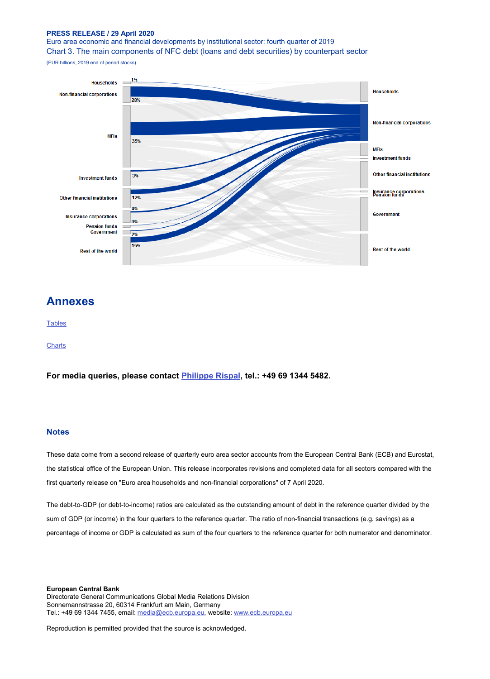Euro area economic and financial developments by institutional sector: fourth quarter of 2019 Chart 3. The main components of NFC debt (loans and debt securities) by counterpart sector

(EUR billions, 2019 end of period stocks)



## **Annexes**

#### **[Tables](http://sdw.ecb.europa.eu/web/generator/prl/pr_qsa_0201_2019q4.pdf)**

**[Charts](http://sdw.ecb.europa.eu/web/generator/prl/pr_qsa_0202_2019q4.pdf)** 

**For media queries, please contact [Philippe Rispal,](mailto:Philippe.Rispal@ecb.europa.eu) tel.: +49 69 1344 5482.**

### **Notes**

These data come from a second release of quarterly euro area sector accounts from the European Central Bank (ECB) and Eurostat, the statistical office of the European Union. This release incorporates revisions and completed data for all sectors compared with the first quarterly release on "Euro area households and non-financial corporations" of 7 April 2020.

The debt-to-GDP (or debt-to-income) ratios are calculated as the outstanding amount of debt in the reference quarter divided by the sum of GDP (or income) in the four quarters to the reference quarter. The ratio of non-financial transactions (e.g. savings) as a percentage of income or GDP is calculated as sum of the four quarters to the reference quarter for both numerator and denominator.

**European Central Bank** Directorate General Communications Global Media Relations Division Sonnemannstrasse 20, 60314 Frankfurt am Main, Germany Tel.: +49 69 1344 7455, email[: media@ecb.europa.eu,](mailto:media@ecb.europa.eu) website[: www.ecb.europa.eu](http://ecb.europa.eu/)